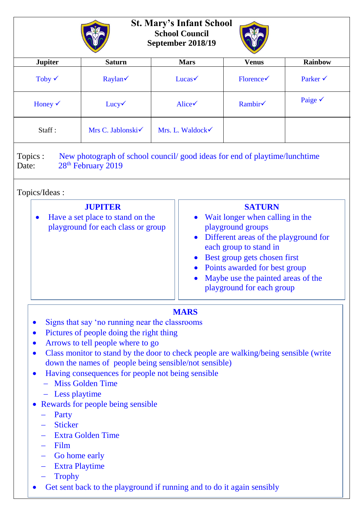| <b>Jupiter</b>     | <b>Saturn</b>                 | <b>Mars</b>                  | <b>Venus</b>                  | <b>Rainbow</b>      |
|--------------------|-------------------------------|------------------------------|-------------------------------|---------------------|
| Toby $\checkmark$  | Raylan $\checkmark$           | $Lucas \checkmark$           | $\text{ Florence} \checkmark$ | Parker $\checkmark$ |
| Honey $\checkmark$ | $Lucy\checkmark$              | Alice $\checkmark$           | Rambir                        | Paige $\checkmark$  |
| Staff:             | Mrs C. Jablonski $\checkmark$ | Mrs. L. Waldock $\checkmark$ |                               |                     |

## Topics/Ideas :

| <b>JUPITER</b><br>Have a set place to stand on the<br>playground for each class or group | <b>SATURN</b><br>Wait longer when calling in the<br>playground groups<br>Different areas of the playground for<br>each group to stand in<br>Best group gets chosen first<br>• Points awarded for best group<br>Maybe use the painted areas of the |
|------------------------------------------------------------------------------------------|---------------------------------------------------------------------------------------------------------------------------------------------------------------------------------------------------------------------------------------------------|
|                                                                                          | playground for each group                                                                                                                                                                                                                         |

## **MARS**

- Signs that say 'no running near the classrooms
- Pictures of people doing the right thing
- Arrows to tell people where to go
- Class monitor to stand by the door to check people are walking/being sensible (write down the names of people being sensible/not sensible)
- Having consequences for people not being sensible
	- Miss Golden Time
	- Less playtime
- Rewards for people being sensible
	- Party
	- Sticker
	- Extra Golden Time
	- Film
	- Go home early
	- Extra Playtime
	- **Trophy**
- Get sent back to the playground if running and to do it again sensibly